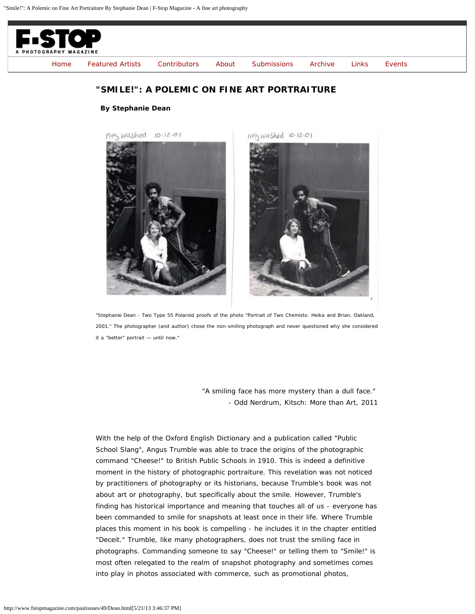

## **"SMILE!": A POLEMIC ON FINE ART PORTRAITURE**

## **By Stephanie Dean**



*"Stephanie Dean - Two Type 55 Polaroid proofs of the photo "Portrait of Two Chemists: Heika and Brian, Oakland, 2001." The photographer (and author) chose the non-smiling photograph and never questioned why she considered it a "better" portrait — until now."*

"A smiling face has more mystery than a dull face." - Odd Nerdrum, Kitsch: More than Art, 2011

With the help of the Oxford English Dictionary and a publication called "Public School Slang", Angus Trumble was able to trace the origins of the photographic command "Cheese!" to British Public Schools in 1910. This is indeed a definitive moment in the history of photographic portraiture. This revelation was not noticed by practitioners of photography or its historians, because Trumble's book was not about art or photography, but specifically about the smile. However, Trumble's finding has historical importance and meaning that touches all of us - everyone has been commanded to smile for snapshots at least once in their life. Where Trumble places this moment in his book is compelling - he includes it in the chapter entitled "Deceit." Trumble, like many photographers, does not trust the smiling face in photographs. Commanding someone to say "Cheese!" or telling them to "Smile!" is most often relegated to the realm of snapshot photography and sometimes comes into play in photos associated with commerce, such as promotional photos,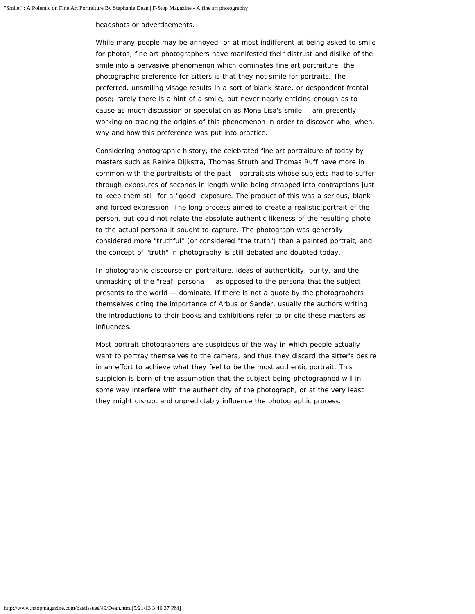headshots or advertisements.

While many people may be annoyed, or at most indifferent at being asked to smile for photos, fine art photographers have manifested their distrust and dislike of the smile into a pervasive phenomenon which dominates fine art portraiture: the photographic preference for sitters is that they not smile for portraits. The preferred, unsmiling visage results in a sort of blank stare, or despondent frontal pose; rarely there is a hint of a smile, but never nearly enticing enough as to cause as much discussion or speculation as Mona Lisa's smile. I am presently working on tracing the origins of this phenomenon in order to discover who, when, why and how this preference was put into practice.

Considering photographic history, the celebrated fine art portraiture of today by masters such as Reinke Dijkstra, Thomas Struth and Thomas Ruff have more in common with the portraitists of the past - portraitists whose subjects had to suffer through exposures of seconds in length while being strapped into contraptions just to keep them still for a "good" exposure. The product of this was a serious, blank and forced expression. The long process aimed to create a realistic portrait of the person, but could not relate the absolute authentic likeness of the resulting photo to the actual persona it sought to capture. The photograph was generally considered more "truthful" (or considered "the truth") than a painted portrait, and the concept of "truth" in photography is still debated and doubted today.

In photographic discourse on portraiture, ideas of authenticity, purity, and the unmasking of the "real" persona — as opposed to the persona that the subject presents to the world — dominate. If there is not a quote by the photographers themselves citing the importance of Arbus or Sander, usually the authors writing the introductions to their books and exhibitions refer to or cite these masters as influences.

Most portrait photographers are suspicious of the way in which people actually want to portray themselves to the camera, and thus they discard the sitter's desire in an effort to achieve what they feel to be the most authentic portrait. This suspicion is born of the assumption that the subject being photographed will in some way interfere with the authenticity of the photograph, or at the very least they might disrupt and unpredictably influence the photographic process.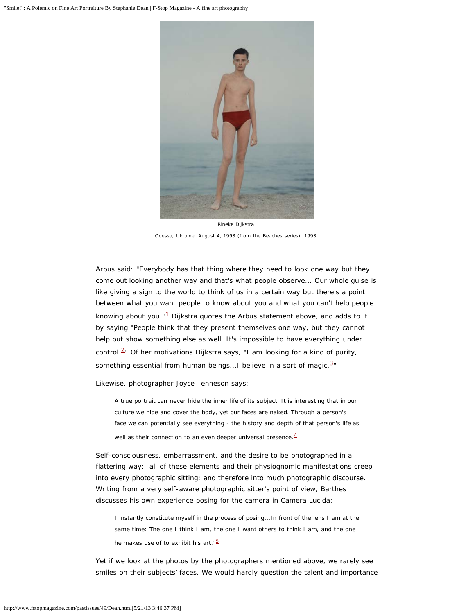

Rineke Dijkstra *Odessa, Ukraine, August 4, 1993 (from the Beaches series), 1993.*

Arbus said: "Everybody has that thing where they need to look one way but they come out looking another way and that's what people observe... Our whole guise is like giving a sign to the world to think of us in a certain way but there's a point between what you want people to know about you and what you can't help people knowing about you." $1$  Dijkstra quotes the Arbus statement above, and adds to it by saying "People think that they present themselves one way, but they cannot help but show something else as well. It's impossible to have everything under control.[2](#page-8-0)" Of her motivations Dijkstra says, "I am looking for a kind of purity, something essential from human beings... I believe in a sort of magic.<sup>3</sup>"

<span id="page-2-1"></span><span id="page-2-0"></span>Likewise, photographer Joyce Tenneson says:

A true portrait can never hide the inner life of its subject. It is interesting that in our culture we hide and cover the body, yet our faces are naked. Through a person's face we can potentially see everything - the history and depth of that person's life as well as their connection to an even deeper universal presence. [4](#page-8-2)

<span id="page-2-2"></span>Self-consciousness, embarrassment, and the desire to be photographed in a flattering way: all of these elements and their physiognomic manifestations creep into every photographic sitting; and therefore into much photographic discourse. Writing from a very self-aware photographic sitter's point of view, Barthes discusses his own experience posing for the camera in *Camera Lucida*:

I instantly constitute myself in the process of posing...In front of the lens I am at the same time: The one I think I am, the one I want others to think I am, and the one he makes use of to exhibit his art."<sup>[5](#page-8-3)</sup>

<span id="page-2-3"></span>Yet if we look at the photos by the photographers mentioned above, we rarely see smiles on their subjects' faces. We would hardly question the talent and importance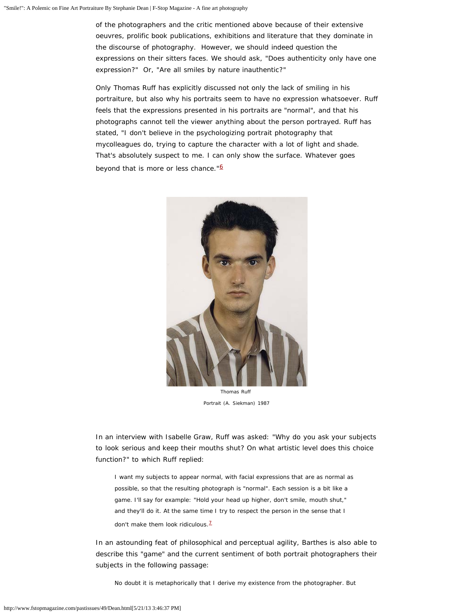of the photographers and the critic mentioned above because of their extensive oeuvres, prolific book publications, exhibitions and literature that they dominate in the discourse of photography. However, we should indeed question the expressions on their sitters faces. We should ask, "Does authenticity only have one expression?" Or, "Are all smiles by nature inauthentic?"

<span id="page-3-0"></span>Only Thomas Ruff has explicitly discussed not only the lack of smiling in his portraiture, but also why his portraits seem to have no expression whatsoever. Ruff feels that the expressions presented in his portraits are "normal", and that his photographs cannot tell the viewer anything about the person portrayed. Ruff has stated, "I don't believe in the psychologizing portrait photography that mycolleagues do, trying to capture the character with a lot of light and shade. That's absolutely suspect to me. I can only show the surface. Whatever goes beyond that is more or less chance."<sup>[6](#page-9-1)</sup>



*Portrait (A. Siekman) 1987*

In an interview with Isabelle Graw, Ruff was asked: "Why do you ask your subjects to look serious and keep their mouths shut? On what artistic level does this choice function?" to which Ruff replied:

I want my subjects to appear normal, with facial expressions that are as normal as possible, so that the resulting photograph is "normal". Each session is a bit like a game. I'll say for example: "Hold your head up higher, don't smile, mouth shut," and they'll do it. At the same time I try to respect the person in the sense that I don't make them look ridiculous. $<sup>1</sup>$ </sup>

<span id="page-3-1"></span>In an astounding feat of philosophical and perceptual agility, Barthes is also able to describe this "game" and the current sentiment of both portrait photographers their subjects in the following passage:

No doubt it is metaphorically that I derive my existence from the photographer. But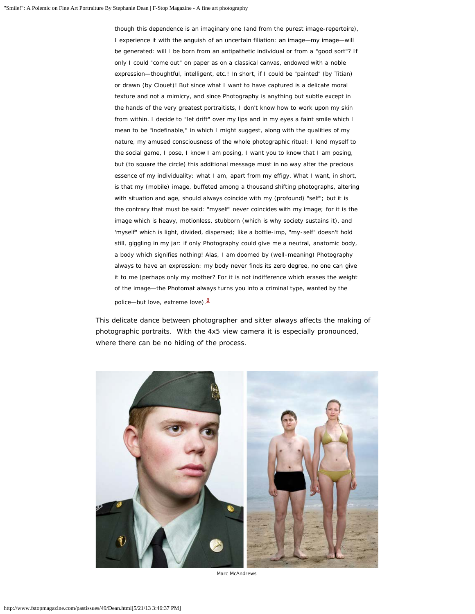though this dependence is an imaginary one (and from the purest image-repertoire), I experience it with the anguish of an uncertain filiation: an image—my image—will be generated: will I be born from an antipathetic individual or from a "good sort"? If only I could "come out" on paper as on a classical canvas, endowed with a noble expression—thoughtful, intelligent, etc.! In short, if I could be "painted" (by Titian) or drawn (by Clouet)! But since what I want to have captured is a delicate moral texture and not a mimicry, and since Photography is anything but subtle except in the hands of the very greatest portraitists, I don't know how to work upon my skin from within. I decide to "let drift" over my lips and in my eyes a faint smile which I mean to be "indefinable," in which I might suggest, along with the qualities of my nature, my amused consciousness of the whole photographic ritual: I lend myself to the social game, I pose, I know I am posing, I want you to know that I am posing, but (to square the circle) this additional message must in no way alter the precious essence of my individuality: what I am, apart from my effigy. What I want, in short, is that my (mobile) image, buffeted among a thousand shifting photographs, altering with situation and age, should always coincide with my (profound) "self"; but it is the contrary that must be said: "myself" never coincides with my image; for it is the image which is heavy, motionless, stubborn (which is why society sustains it), and 'myself" which is light, divided, dispersed; like a bottle-imp, "my-self" doesn't hold still, giggling in my jar: if only Photography could give me a neutral, anatomic body, a body which signifies nothing! Alas, I am doomed by (well-meaning) Photography always to have an expression: my body never finds its zero degree, no one can give it to me (perhaps only my mother? For it is not indifference which erases the weight of the image—the Photomat always turns you into a criminal type, wanted by the police—but love, extreme love). [8](#page-9-3)

This delicate dance between photographer and sitter always affects the making of photographic portraits. With the 4x5 view camera it is especially pronounced, where there can be no hiding of the process.



Marc McAndrews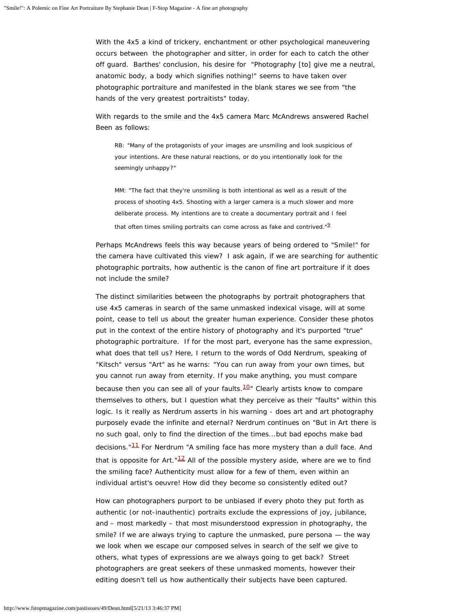With the 4x5 a kind of trickery, enchantment or other psychological maneuvering occurs between the photographer and sitter, in order for each to catch the other off guard. Barthes' conclusion, his desire for "Photography [to] give me a neutral, anatomic body, a body which signifies nothing!" seems to have taken over photographic portraiture and manifested in the blank stares we see from "the hands of the very greatest portraitists" today.

With regards to the smile and the 4x5 camera Marc McAndrews answered Rachel Been as follows:

RB: "Many of the protagonists of your images are unsmiling and look suspicious of your intentions. Are these natural reactions, or do you intentionally look for the seemingly unhappy?"

MM: "The fact that they're unsmiling is both intentional as well as a result of the process of shooting 4x5. Shooting with a larger camera is a much slower and more deliberate process. My intentions are to create a documentary portrait and I feel that often times smiling portraits can come across as fake and contrived."<sup>2</sup>

<span id="page-5-0"></span>Perhaps McAndrews feels this way because years of being ordered to "Smile!" for the camera have cultivated this view? I ask again, if we are searching for authentic photographic portraits, how authentic is the canon of fine art portraiture if it does not include the smile?

<span id="page-5-1"></span>The distinct similarities between the photographs by portrait photographers that use 4x5 cameras in search of the same unmasked indexical visage, will at some point, cease to tell us about the greater human experience. Consider these photos put in the context of the entire history of photography and it's purported "true" photographic portraiture. If for the most part, everyone has the same expression, what does that tell us? Here, I return to the words of Odd Nerdrum, speaking of "Kitsch" versus "Art" as he warns: "You can run away from your own times, but you cannot run away from eternity. If you make anything, you must compare because then you can see all of your faults. $10^{\circ}$  Clearly artists know to compare themselves to others, but I question what they perceive as their "faults" within this logic. Is it really as Nerdrum asserts in his warning - does art and art photography purposely evade the infinite and eternal? Nerdrum continues on "But in Art there is no such goal, only to find the direction of the times...but bad epochs make bad decisions." $11$  For Nerdrum "A smiling face has more mystery than a dull face. And that is opposite for Art." $12$  All of the possible mystery aside, where are we to find the smiling face? Authenticity must allow for a few of them, even within an individual artist's oeuvre! How did they become so consistently edited out?

<span id="page-5-3"></span><span id="page-5-2"></span>How can photographers purport to be unbiased if every photo they put forth as *authentic* (or not-inauthentic) portraits exclude the expressions of joy, jubilance, and – most markedly – that most misunderstood expression in photography, the smile? If we are always trying to capture the unmasked, pure persona — the way we look when we escape our composed selves in search of the self we give to others, what types of expressions are we always going to get back? Street photographers are great seekers of these unmasked moments, however their editing doesn't tell us how authentically their subjects have been captured.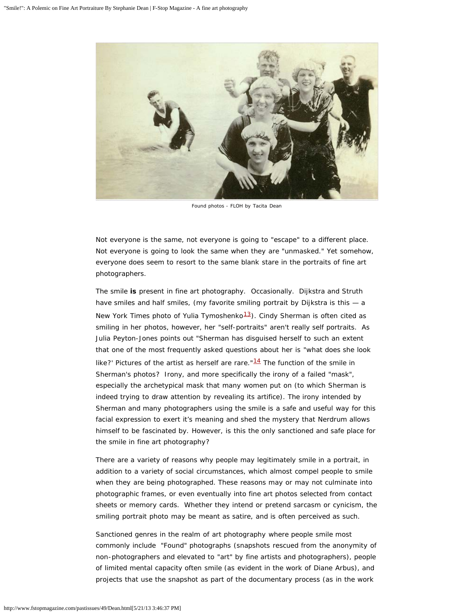

Found photos - FLOH by Tacita Dean

Not everyone is the same, not everyone is going to "escape" to a different place. Not everyone is going to look the same when they are "unmasked." Yet somehow, everyone does seem to resort to the same blank stare in the portraits of fine art photographers.

<span id="page-6-1"></span><span id="page-6-0"></span>The smile *is* present in fine art photography. Occasionally. Dijkstra and Struth have smiles and half smiles, (my favorite smiling portrait by Dijkstra is this — a New York Times photo of Yulia Tymoshenko $13$ ). Cindy Sherman is often cited as smiling in her photos, however, her "self-portraits" aren't really self portraits. As Julia Peyton-Jones points out "Sherman has disguised herself to such an extent that one of the most frequently asked questions about her is "what does she look like?' Pictures of the artist as herself are rare." $14$  The function of the smile in Sherman's photos? Irony, and more specifically the irony of a failed "mask", especially the archetypical mask that many women put on (to which Sherman is indeed trying to draw attention by revealing its artifice). The irony intended by Sherman and many photographers using the smile is a safe and useful way for this facial expression to exert it's meaning and shed the mystery that Nerdrum allows himself to be fascinated by. However, is this the only sanctioned and safe place for the smile in fine art photography?

There are a variety of reasons why people may legitimately smile in a portrait, in addition to a variety of social circumstances, which almost compel people to smile when they are being photographed. These reasons may or may not culminate into photographic frames, or even eventually into fine art photos selected from contact sheets or memory cards. Whether they intend or pretend sarcasm or cynicism, the smiling portrait photo may be meant as satire, and is often perceived as such.

Sanctioned genres in the realm of art photography where people smile most commonly include "Found" photographs (snapshots rescued from the anonymity of non-photographers and elevated to "art" by fine artists and photographers), people of limited mental capacity often smile (as evident in the work of Diane Arbus), and projects that use the snapshot as part of the documentary process (as in the work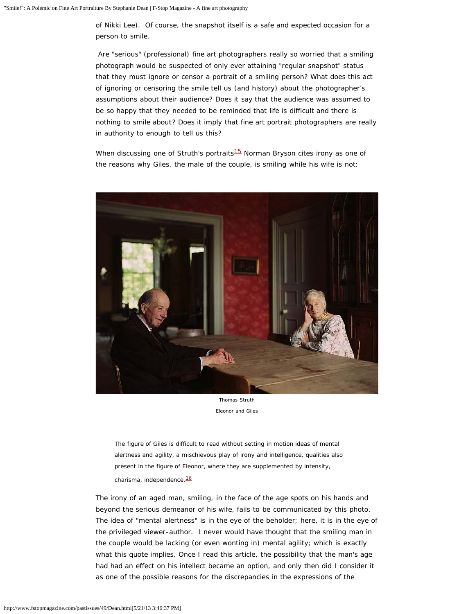of Nikki Lee). Of course, the snapshot itself is a safe and expected occasion for a person to smile.

Are "serious" (professional) fine art photographers really so worried that a smiling photograph would be suspected of only ever attaining "regular snapshot" status that they must ignore or censor a portrait of a smiling person? What does this act of ignoring or censoring the smile tell us (and history) about the photographer's assumptions about their audience? Does it say that the audience was assumed to be so happy that they needed to be reminded that life is difficult and there is nothing to smile about? Does it imply that fine art portrait photographers are really in authority to enough to tell us this?

<span id="page-7-0"></span>When discussing one of Struth's portraits $15$  Norman Bryson cites irony as one of the reasons why Giles, the male of the couple, is smiling while his wife is not:



Thomas Struth *Eleonor and Giles*

The figure of Giles is difficult to read without setting in motion ideas of mental alertness and agility, a mischievous play of irony and intelligence, qualities also present in the figure of Eleonor, where they are supplemented by intensity, charisma, independence.<sup>[16](#page-9-0)</sup>

<span id="page-7-1"></span>The irony of an aged man, smiling, in the face of the age spots on his hands and beyond the serious demeanor of his wife, fails to be communicated by this photo. The idea of "mental alertness" is in the eye of the beholder; here, it is in the eye of the privileged viewer-author. I never would have thought that the smiling man in the couple would be lacking (or even wonting in) mental agility; which is exactly what this quote implies. Once I read this article, the possibility that the man's age had had an effect on his intellect became an option, and only then did I consider it as one of the possible reasons for the discrepancies in the expressions of the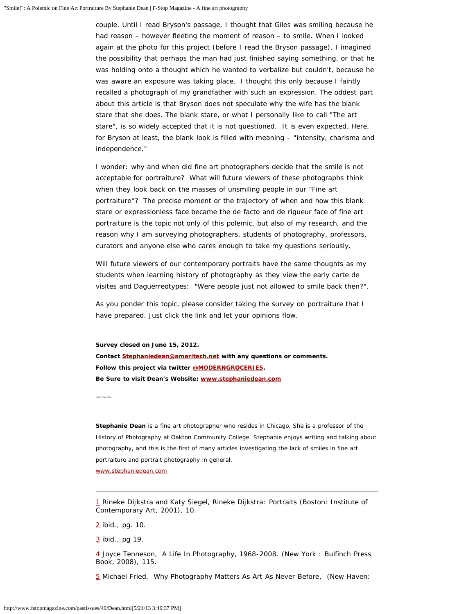couple. Until I read Bryson's passage, I thought that Giles was smiling because he had reason – however fleeting the moment of reason – to smile. When I looked again at the photo for this project (before I read the Bryson passage), I imagined the possibility that perhaps the man had just finished saying something, or that he was holding onto a thought which he wanted to verbalize but couldn't, because he was aware an exposure was taking place. I thought this only because I faintly recalled a photograph of my grandfather with such an expression. The oddest part about this article is that Bryson does not speculate why the wife has the blank stare that she does. The blank stare, or what I personally like to call "The art stare", is so widely accepted that it is not questioned. It is even expected. Here, for Bryson at least, the blank look is filled with meaning – "intensity, charisma and independence."

I wonder: why and when did fine art photographers decide that the smile is not acceptable for portraiture? What will future viewers of these photographs think when they look back on the masses of unsmiling people in our "Fine art portraiture"? The precise moment or the trajectory of when and how this blank stare or expressionless face became the *de facto* and *de rigueur* face of fine art portraiture is the topic not only of this polemic, but also of my research, and the reason why I am surveying photographers, students of photography, professors, curators and anyone else who cares enough to take my questions seriously.

Will future viewers of our contemporary portraits have the same thoughts as my students when learning history of photography as they view the early carte de visites and Daguerreotypes: "Were people just not allowed to smile back then?".

As you ponder this topic, please consider taking the survey on portraiture that I have prepared. Just click the link and let your opinions flow.

**Survey closed on June 15, 2012. Contact [Stephaniedean@ameritech.net](mailto:Stephaniedean@ameritech.net) with any questions or comments. Follow this project via twitter [@MODERNGROCERIES.](https://twitter.com/ModernGroceries) Be Sure to visit Dean's Website: [www.stephaniedean.com](http://www.stephaniedean.com/)**

 $\sim$   $\sim$   $\sim$ 

**Stephanie Dean** is a fine art photographer who resides in Chicago, She is a professor of the History of Photography at Oakton Community College. Stephanie enjoys writing and talking about photography, and this is the first of many articles investigating the lack of smiles in fine art portraiture and portrait photography in general.

[www.stephaniedean.com](http://www.stephaniedean.com/)

[1](#page-3-0) Rineke Dijkstra and Katy Siegel, *Rineke Dijkstra: Portraits* (Boston: Institute of Contemporary Art, 2001), 10.

<span id="page-8-0"></span>[2](#page-2-0) *ibid.*, pg. 10.

<span id="page-8-1"></span>[3](#page-2-1) *ibid*., pg 19.

<span id="page-8-2"></span>[4](#page-2-2) Joyce Tenneson, *A Life In Photography, 1968-2008*. (New York : Bulfinch Press Book, 2008), 115.

<span id="page-8-3"></span>[5](#page-2-3) Michael Fried, *Why Photography Matters As Art As Never Before*, (New Haven: